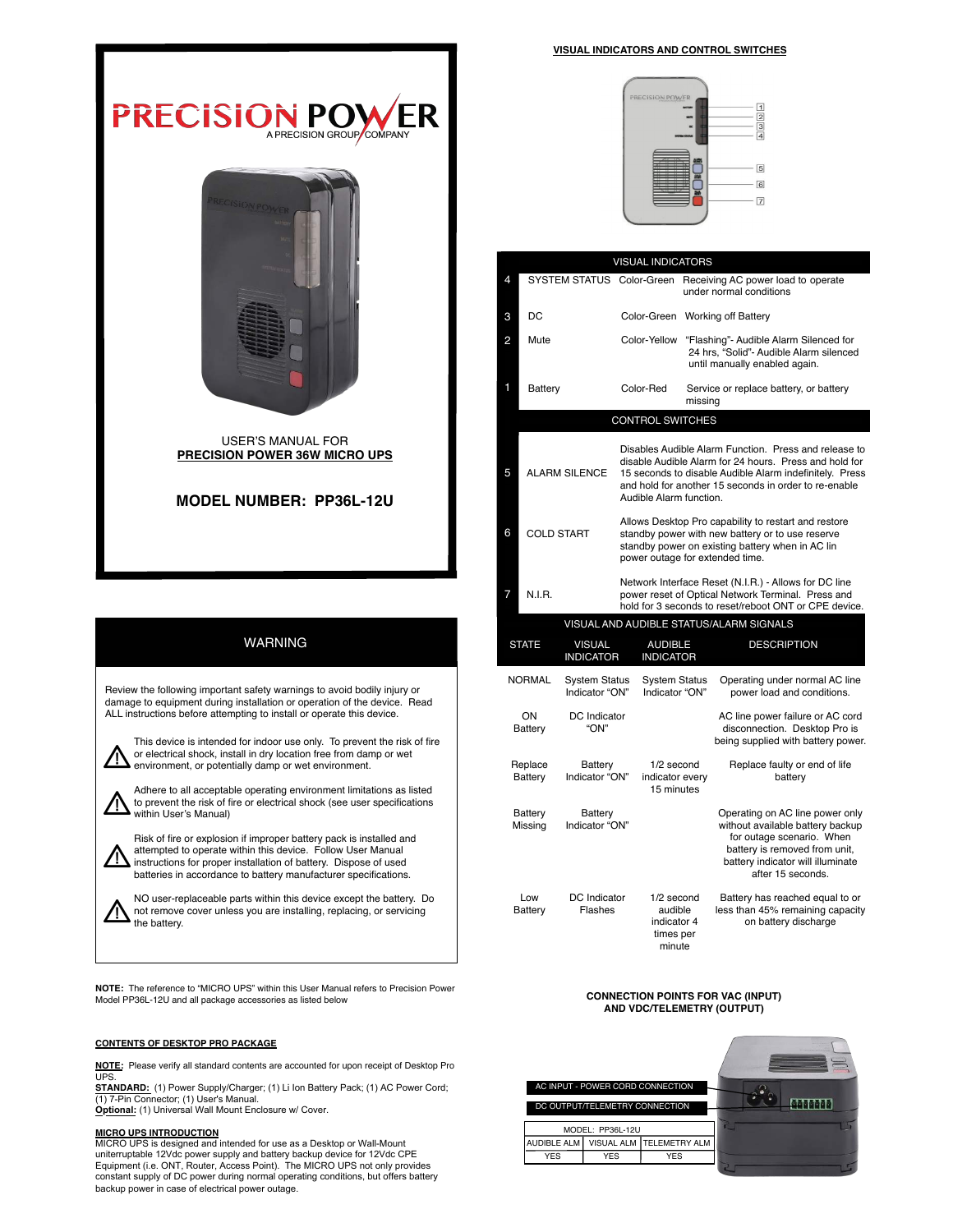

## MODEL NUMBER: PP36L-12U

## WARNING

 Review the following important safety warnings to avoid bodily injury or damage to equipment during installation or operation of the device. Read ALL instructions before attempting to install or operate this device.

This device is intended for indoor use only. To prevent the risk of fire or electrical shock, install in dry location free from damp or wet environment, or potentially damp or wet environment.

Adhere to all acceptable operating environment limitations as listed to prevent the risk of fire or electrical shock (see user specifications within User's Manual)

Risk of fire or explosion if improper battery pack is installed and attempted to operate within this device. Follow User Manual instructions for proper installation of battery. Dispose of used batteries in accordance to battery manufacturer specifications.

NO user-replaceable parts within this device except the battery. Do Δ not remove cover unless you are installing, replacing, or servicing the battery.

NOTE: The reference to "MICRO UPS" within this User Manual refers to Precision Power Model PP36L-12U and all package accessories as listed below

#### CONTENTS OF DESKTOP PRO PACKAGE

NOTE: Please verify all standard contents are accounted for upon receipt of Desktop Pro **UPS** 

STANDARD: (1) Power Supply/Charger; (1) Li Ion Battery Pack; (1) AC Power Cord; (1) 7-Pin Connector; (1) User's Manual.<br>**Optional:** (1) Universal Wall Mount Enclosure w/ Cover.

**MICRO UPS INTRODUCTION**<br>MICRO UPS is designed and intended for use as a Desktop or Wall-Mount<br>uniterruptable 12Vdc power supply and battery backup device for 12Vdc CPE Equipment (i.e. ONT, Router, Access Point). The MICRO UPS not only provides constant supply of DC power during normal operating conditions, but offers battery backup power in case of electrical power outage.

#### VISUAL INDICATORS AND CONTROL SWITCHES



| <b>VISUAL INDICATORS</b>  |                                         |                                        |                                                                                                                                                                                                                                                                |                                                             |                                                                                                                                                                                             |  |  |  |
|---------------------------|-----------------------------------------|----------------------------------------|----------------------------------------------------------------------------------------------------------------------------------------------------------------------------------------------------------------------------------------------------------------|-------------------------------------------------------------|---------------------------------------------------------------------------------------------------------------------------------------------------------------------------------------------|--|--|--|
| 4                         | SYSTEM STATUS Color-Green               |                                        |                                                                                                                                                                                                                                                                |                                                             | Receiving AC power load to operate<br>under normal conditions                                                                                                                               |  |  |  |
| 3                         | DC                                      |                                        |                                                                                                                                                                                                                                                                |                                                             | Color-Green Working off Battery                                                                                                                                                             |  |  |  |
| 2                         | Mute                                    |                                        | Color-Yellow                                                                                                                                                                                                                                                   |                                                             | "Flashing"- Audible Alarm Silenced for<br>24 hrs, "Solid"- Audible Alarm silenced<br>until manually enabled again.                                                                          |  |  |  |
| 1                         | Battery                                 |                                        | Color-Red                                                                                                                                                                                                                                                      | missing                                                     | Service or replace battery, or battery                                                                                                                                                      |  |  |  |
|                           | <b>CONTROL SWITCHES</b>                 |                                        |                                                                                                                                                                                                                                                                |                                                             |                                                                                                                                                                                             |  |  |  |
| 5                         | <b>ALARM SILENCE</b>                    |                                        | Disables Audible Alarm Function. Press and release to<br>disable Audible Alarm for 24 hours. Press and hold for<br>15 seconds to disable Audible Alarm indefinitely. Press<br>and hold for another 15 seconds in order to re-enable<br>Audible Alarm function. |                                                             |                                                                                                                                                                                             |  |  |  |
| 6                         | <b>COLD START</b>                       |                                        | Allows Desktop Pro capability to restart and restore<br>standby power with new battery or to use reserve<br>standby power on existing battery when in AC lin<br>power outage for extended time.                                                                |                                                             |                                                                                                                                                                                             |  |  |  |
| 7                         | <b>N.I.R.</b>                           |                                        | Network Interface Reset (N.I.R.) - Allows for DC line<br>power reset of Optical Network Terminal. Press and<br>hold for 3 seconds to reset/reboot ONT or CPE device.                                                                                           |                                                             |                                                                                                                                                                                             |  |  |  |
|                           | VISUAL AND AUDIBLE STATUS/ALARM SIGNALS |                                        |                                                                                                                                                                                                                                                                |                                                             |                                                                                                                                                                                             |  |  |  |
| <b>STATE</b>              |                                         | <b>VISUAL</b><br><b>INDICATOR</b>      | <b>AUDIBLE</b><br><b>INDICATOR</b>                                                                                                                                                                                                                             |                                                             | <b>DESCRIPTION</b>                                                                                                                                                                          |  |  |  |
| <b>NORMAL</b>             |                                         | <b>System Status</b><br>Indicator "ON" | <b>System Status</b><br>Indicator "ON"                                                                                                                                                                                                                         |                                                             | Operating under normal AC line<br>power load and conditions.                                                                                                                                |  |  |  |
| ON<br>Battery             |                                         | DC Indicator<br>"ON"                   |                                                                                                                                                                                                                                                                |                                                             | AC line power failure or AC cord<br>disconnection. Desktop Pro is<br>being supplied with battery power.                                                                                     |  |  |  |
| Replace<br>Battery        |                                         | Battery<br>Indicator "ON"              | 1/2 second<br>indicator every<br>15 minutes                                                                                                                                                                                                                    |                                                             | Replace faulty or end of life<br>battery                                                                                                                                                    |  |  |  |
| <b>Battery</b><br>Missing |                                         | Battery<br>Indicator "ON"              |                                                                                                                                                                                                                                                                |                                                             | Operating on AC line power only<br>without available battery backup<br>for outage scenario. When<br>battery is removed from unit,<br>battery indicator will illuminate<br>after 15 seconds. |  |  |  |
| Low<br>Battery            |                                         | DC Indicator<br>Flashes                |                                                                                                                                                                                                                                                                | 1/2 second<br>audible<br>indicator 4<br>times per<br>minute | Battery has reached equal to or<br>less than 45% remaining capacity<br>on battery discharge                                                                                                 |  |  |  |

# CONNECTION POINTS FOR VAC (INPUT) AND VDC/TELEMETRY (OUTPUT)